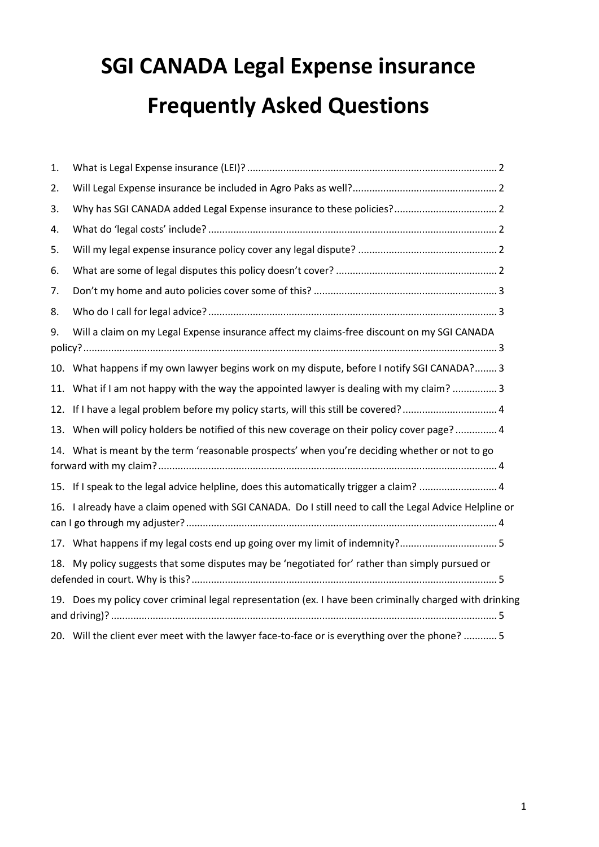# **SGI CANADA Legal Expense insurance Frequently Asked Questions**

| 1.  |                                                                                                          |
|-----|----------------------------------------------------------------------------------------------------------|
| 2.  |                                                                                                          |
| 3.  |                                                                                                          |
| 4.  |                                                                                                          |
| 5.  |                                                                                                          |
| 6.  |                                                                                                          |
| 7.  |                                                                                                          |
| 8.  |                                                                                                          |
| 9.  | Will a claim on my Legal Expense insurance affect my claims-free discount on my SGI CANADA               |
|     | 10. What happens if my own lawyer begins work on my dispute, before I notify SGI CANADA? 3               |
|     | 11. What if I am not happy with the way the appointed lawyer is dealing with my claim?  3                |
|     | 12. If I have a legal problem before my policy starts, will this still be covered? 4                     |
|     | 13. When will policy holders be notified of this new coverage on their policy cover page? 4              |
|     | 14. What is meant by the term 'reasonable prospects' when you're deciding whether or not to go           |
|     | 15. If I speak to the legal advice helpline, does this automatically trigger a claim?  4                 |
|     | 16. I already have a claim opened with SGI CANADA. Do I still need to call the Legal Advice Helpline or  |
|     | 17. What happens if my legal costs end up going over my limit of indemnity?5                             |
| 18. | My policy suggests that some disputes may be 'negotiated for' rather than simply pursued or              |
|     | 19. Does my policy cover criminal legal representation (ex. I have been criminally charged with drinking |
|     | 20. Will the client ever meet with the lawyer face-to-face or is everything over the phone?  5           |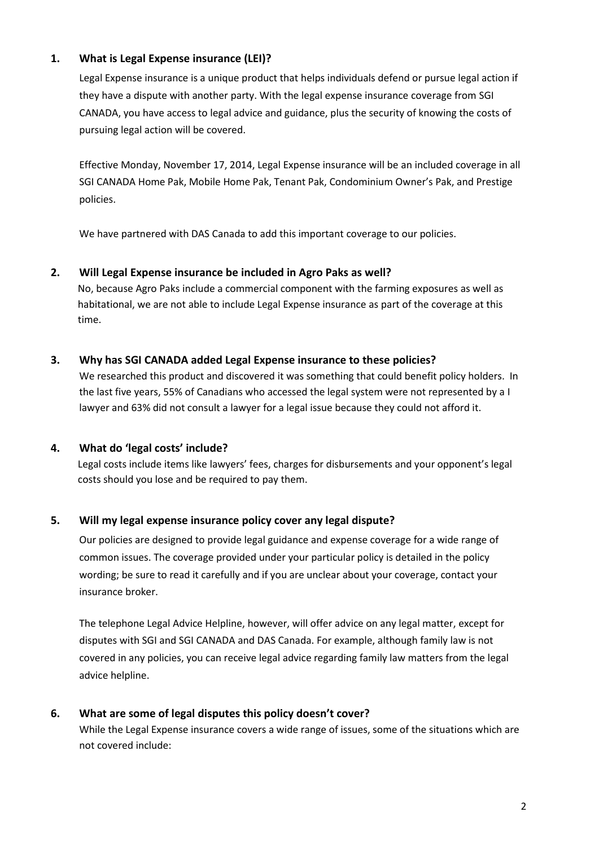## <span id="page-1-0"></span>**1. What is Legal Expense insurance (LEI)?**

Legal Expense insurance is a unique product that helps individuals defend or pursue legal action if they have a dispute with another party. With the legal expense insurance coverage from SGI CANADA, you have access to legal advice and guidance, plus the security of knowing the costs of pursuing legal action will be covered.

Effective Monday, November 17, 2014, Legal Expense insurance will be an included coverage in all SGI CANADA Home Pak, Mobile Home Pak, Tenant Pak, Condominium Owner's Pak, and Prestige policies.

We have partnered with DAS Canada to add this important coverage to our policies.

#### <span id="page-1-1"></span>**2. Will Legal Expense insurance be included in Agro Paks as well?**

No, because Agro Paks include a commercial component with the farming exposures as well as habitational, we are not able to include Legal Expense insurance as part of the coverage at this time.

#### <span id="page-1-2"></span>**3. Why has SGI CANADA added Legal Expense insurance to these policies?**

We researched this product and discovered it was something that could benefit policy holders. In the last five years, 55% of Canadians who accessed the legal system were not represented by a I lawyer and 63% did not consult a lawyer for a legal issue because they could not afford it.

## <span id="page-1-3"></span>**4. What do 'legal costs' include?**

Legal costs include items like lawyers' fees, charges for disbursements and your opponent's legal costs should you lose and be required to pay them.

## <span id="page-1-4"></span>**5. Will my legal expense insurance policy cover any legal dispute?**

Our policies are designed to provide legal guidance and expense coverage for a wide range of common issues. The coverage provided under your particular policy is detailed in the policy wording; be sure to read it carefully and if you are unclear about your coverage, contact your insurance broker.

The telephone Legal Advice Helpline, however, will offer advice on any legal matter, except for disputes with SGI and SGI CANADA and DAS Canada. For example, although family law is not covered in any policies, you can receive legal advice regarding family law matters from the legal advice helpline.

## <span id="page-1-5"></span>**6. What are some of legal disputes this policy doesn't cover?**

While the Legal Expense insurance covers a wide range of issues, some of the situations which are not covered include: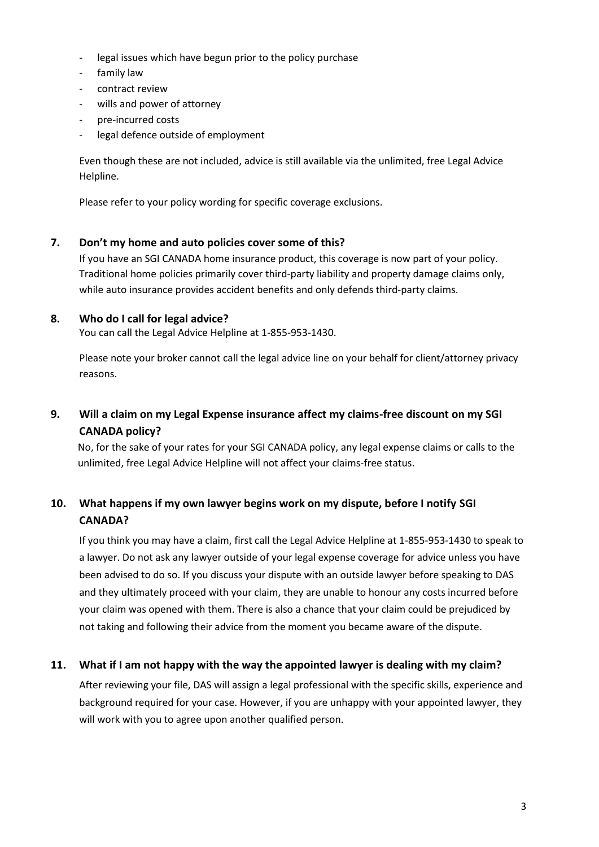- legal issues which have begun prior to the policy purchase
- family law
- contract review
- wills and power of attorney
- pre-incurred costs
- legal defence outside of employment

Even though these are not included, advice is still available via the unlimited, free Legal Advice Helpline.

Please refer to your policy wording for specific coverage exclusions.

#### <span id="page-2-0"></span>**7. Don't my home and auto policies cover some of this?**

If you have an SGI CANADA home insurance product, this coverage is now part of your policy. Traditional home policies primarily cover third-party liability and property damage claims only, while auto insurance provides accident benefits and only defends third-party claims.

#### <span id="page-2-1"></span>**8. Who do I call for legal advice?**

You can call the Legal Advice Helpline at 1-855-953-1430.

Please note your broker cannot call the legal advice line on your behalf for client/attorney privacy reasons.

# <span id="page-2-2"></span>**9. Will a claim on my Legal Expense insurance affect my claims-free discount on my SGI CANADA policy?**

No, for the sake of your rates for your SGI CANADA policy, any legal expense claims or calls to the unlimited, free Legal Advice Helpline will not affect your claims-free status.

# <span id="page-2-3"></span>**10. What happens if my own lawyer begins work on my dispute, before I notify SGI CANADA?**

If you think you may have a claim, first call the Legal Advice Helpline at 1-855-953-1430 to speak to a lawyer. Do not ask any lawyer outside of your legal expense coverage for advice unless you have been advised to do so. If you discuss your dispute with an outside lawyer before speaking to DAS and they ultimately proceed with your claim, they are unable to honour any costs incurred before your claim was opened with them. There is also a chance that your claim could be prejudiced by not taking and following their advice from the moment you became aware of the dispute.

## <span id="page-2-4"></span>**11. What if I am not happy with the way the appointed lawyer is dealing with my claim?**

After reviewing your file, DAS will assign a legal professional with the specific skills, experience and background required for your case. However, if you are unhappy with your appointed lawyer, they will work with you to agree upon another qualified person.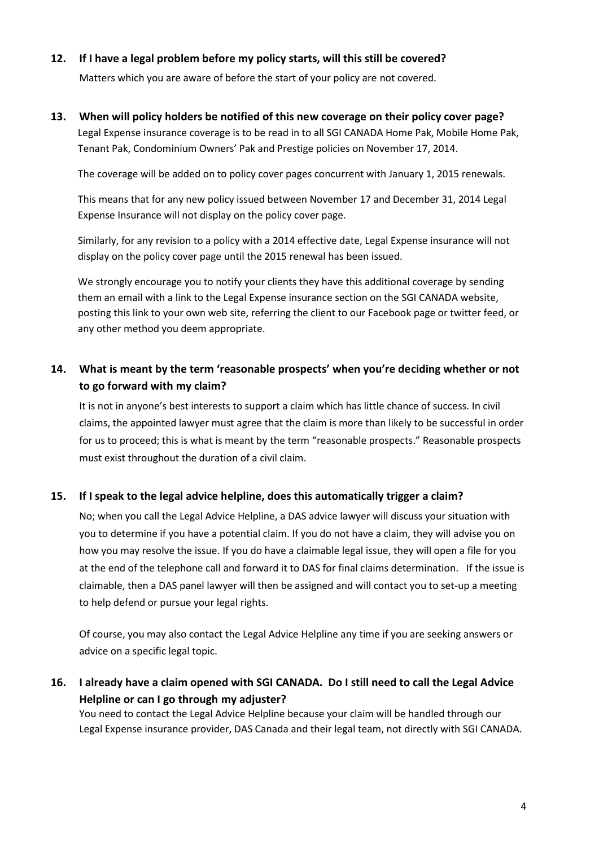#### <span id="page-3-0"></span>**12. If I have a legal problem before my policy starts, will this still be covered?**

Matters which you are aware of before the start of your policy are not covered.

## <span id="page-3-1"></span>**13. When will policy holders be notified of this new coverage on their policy cover page?** Legal Expense insurance coverage is to be read in to all SGI CANADA Home Pak, Mobile Home Pak, Tenant Pak, Condominium Owners' Pak and Prestige policies on November 17, 2014.

The coverage will be added on to policy cover pages concurrent with January 1, 2015 renewals.

This means that for any new policy issued between November 17 and December 31, 2014 Legal Expense Insurance will not display on the policy cover page.

Similarly, for any revision to a policy with a 2014 effective date, Legal Expense insurance will not display on the policy cover page until the 2015 renewal has been issued.

We strongly encourage you to notify your clients they have this additional coverage by sending them an email with a link to the Legal Expense insurance section on the SGI CANADA website, posting this link to your own web site, referring the client to our Facebook page or twitter feed, or any other method you deem appropriate.

# <span id="page-3-2"></span>**14. What is meant by the term 'reasonable prospects' when you're deciding whether or not to go forward with my claim?**

It is not in anyone's best interests to support a claim which has little chance of success. In civil claims, the appointed lawyer must agree that the claim is more than likely to be successful in order for us to proceed; this is what is meant by the term "reasonable prospects." Reasonable prospects must exist throughout the duration of a civil claim.

#### <span id="page-3-3"></span>**15. If I speak to the legal advice helpline, does this automatically trigger a claim?**

No; when you call the Legal Advice Helpline, a DAS advice lawyer will discuss your situation with you to determine if you have a potential claim. If you do not have a claim, they will advise you on how you may resolve the issue. If you do have a claimable legal issue, they will open a file for you at the end of the telephone call and forward it to DAS for final claims determination. If the issue is claimable, then a DAS panel lawyer will then be assigned and will contact you to set-up a meeting to help defend or pursue your legal rights.

Of course, you may also contact the Legal Advice Helpline any time if you are seeking answers or advice on a specific legal topic.

# <span id="page-3-4"></span>**16. I already have a claim opened with SGI CANADA. Do I still need to call the Legal Advice Helpline or can I go through my adjuster?**

You need to contact the Legal Advice Helpline because your claim will be handled through our Legal Expense insurance provider, DAS Canada and their legal team, not directly with SGI CANADA.